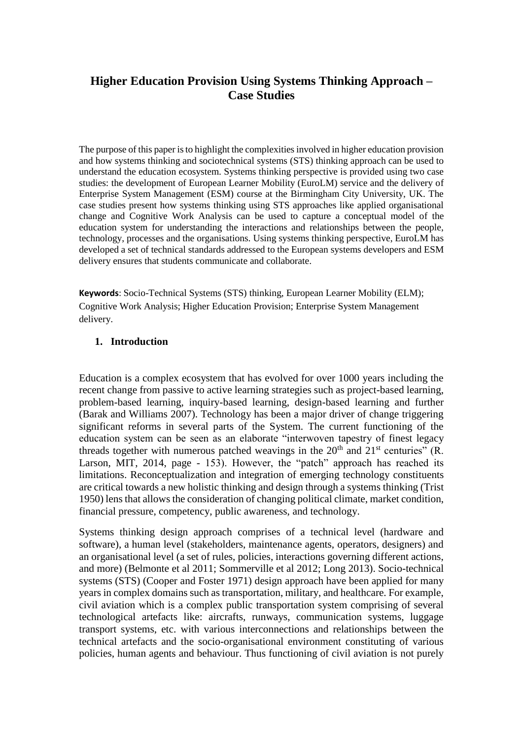# **Higher Education Provision Using Systems Thinking Approach – Case Studies**

The purpose of this paper is to highlight the complexities involved in higher education provision and how systems thinking and sociotechnical systems (STS) thinking approach can be used to understand the education ecosystem. Systems thinking perspective is provided using two case studies: the development of European Learner Mobility (EuroLM) service and the delivery of Enterprise System Management (ESM) course at the Birmingham City University, UK. The case studies present how systems thinking using STS approaches like applied organisational change and Cognitive Work Analysis can be used to capture a conceptual model of the education system for understanding the interactions and relationships between the people, technology, processes and the organisations. Using systems thinking perspective, EuroLM has developed a set of technical standards addressed to the European systems developers and ESM delivery ensures that students communicate and collaborate.

**Keywords**: Socio-Technical Systems (STS) thinking, European Learner Mobility (ELM); Cognitive Work Analysis; Higher Education Provision; Enterprise System Management delivery.

### **1. Introduction**

Education is a complex ecosystem that has evolved for over 1000 years including the recent change from passive to active learning strategies such as project-based learning, problem-based learning, inquiry-based learning, design-based learning and further (Barak and Williams 2007). Technology has been a major driver of change triggering significant reforms in several parts of the System. The current functioning of the education system can be seen as an elaborate "interwoven tapestry of finest legacy threads together with numerous patched weavings in the  $20<sup>th</sup>$  and  $21<sup>st</sup>$  centuries" (R. Larson, MIT, 2014, page - 153). However, the "patch" approach has reached its limitations. Reconceptualization and integration of emerging technology constituents are critical towards a new holistic thinking and design through a systems thinking (Trist 1950) lens that allows the consideration of changing political climate, market condition, financial pressure, competency, public awareness, and technology.

Systems thinking design approach comprises of a technical level (hardware and software), a human level (stakeholders, maintenance agents, operators, designers) and an organisational level (a set of rules, policies, interactions governing different actions, and more) (Belmonte et al 2011; Sommerville et al 2012; Long 2013). Socio-technical systems (STS) (Cooper and Foster 1971) design approach have been applied for many years in complex domains such as transportation, military, and healthcare. For example, civil aviation which is a complex public transportation system comprising of several technological artefacts like: aircrafts, runways, communication systems, luggage transport systems, etc. with various interconnections and relationships between the technical artefacts and the socio-organisational environment constituting of various policies, human agents and behaviour. Thus functioning of civil aviation is not purely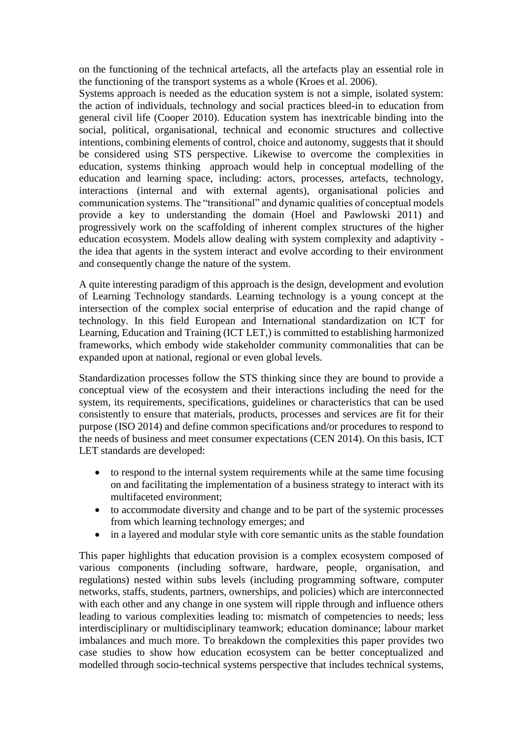on the functioning of the technical artefacts, all the artefacts play an essential role in the functioning of the transport systems as a whole (Kroes et al. 2006).

Systems approach is needed as the education system is not a simple, isolated system: the action of individuals, technology and social practices bleed-in to education from general civil life (Cooper 2010). Education system has inextricable binding into the social, political, organisational, technical and economic structures and collective intentions, combining elements of control, choice and autonomy, suggests that it should be considered using STS perspective. Likewise to overcome the complexities in education, systems thinking approach would help in conceptual modelling of the education and learning space, including: actors, processes, artefacts, technology, interactions (internal and with external agents), organisational policies and communication systems. The "transitional" and dynamic qualities of conceptual models provide a key to understanding the domain (Hoel and Pawlowski 2011) and progressively work on the scaffolding of inherent complex structures of the higher education ecosystem. Models allow dealing with system complexity and adaptivity the idea that agents in the system interact and evolve according to their environment and consequently change the nature of the system.

A quite interesting paradigm of this approach is the design, development and evolution of Learning Technology standards. Learning technology is a young concept at the intersection of the complex social enterprise of education and the rapid change of technology. In this field European and International standardization on ICT for Learning, Education and Training (ICT LET,) is committed to establishing harmonized frameworks, which embody wide stakeholder community commonalities that can be expanded upon at national, regional or even global levels.

Standardization processes follow the STS thinking since they are bound to provide a conceptual view of the ecosystem and their interactions including the need for the system, its requirements, specifications, guidelines or characteristics that can be used consistently to ensure that materials, products, processes and services are fit for their purpose (ISO 2014) and define common specifications and/or procedures to respond to the needs of business and meet consumer expectations (CEN 2014). On this basis, ICT LET standards are developed:

- to respond to the internal system requirements while at the same time focusing on and facilitating the implementation of a business strategy to interact with its multifaceted environment;
- to accommodate diversity and change and to be part of the systemic processes from which learning technology emerges; and
- in a layered and modular style with core semantic units as the stable foundation

This paper highlights that education provision is a complex ecosystem composed of various components (including software, hardware, people, organisation, and regulations) nested within subs levels (including programming software, computer networks, staffs, students, partners, ownerships, and policies) which are interconnected with each other and any change in one system will ripple through and influence others leading to various complexities leading to: mismatch of competencies to needs; less interdisciplinary or multidisciplinary teamwork; education dominance; labour market imbalances and much more. To breakdown the complexities this paper provides two case studies to show how education ecosystem can be better conceptualized and modelled through socio-technical systems perspective that includes technical systems,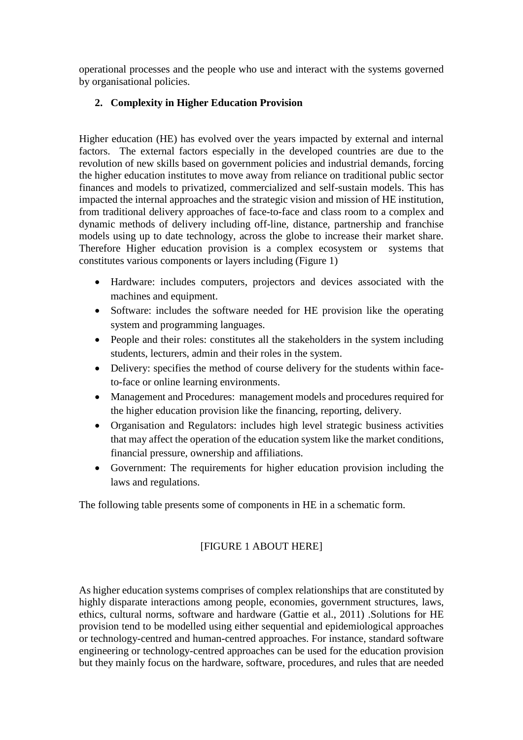operational processes and the people who use and interact with the systems governed by organisational policies.

## **2. Complexity in Higher Education Provision**

Higher education (HE) has evolved over the years impacted by external and internal factors. The external factors especially in the developed countries are due to the revolution of new skills based on government policies and industrial demands, forcing the higher education institutes to move away from reliance on traditional public sector finances and models to privatized, commercialized and self-sustain models. This has impacted the internal approaches and the strategic vision and mission of HE institution, from traditional delivery approaches of face-to-face and class room to a complex and dynamic methods of delivery including off-line, distance, partnership and franchise models using up to date technology, across the globe to increase their market share. Therefore Higher education provision is a complex ecosystem or systems that constitutes various components or layers including (Figure 1)

- Hardware: includes computers, projectors and devices associated with the machines and equipment.
- Software: includes the software needed for HE provision like the operating system and programming languages.
- People and their roles: constitutes all the stakeholders in the system including students, lecturers, admin and their roles in the system.
- Delivery: specifies the method of course delivery for the students within faceto-face or online learning environments.
- Management and Procedures: management models and procedures required for the higher education provision like the financing, reporting, delivery.
- Organisation and Regulators: includes high level strategic business activities that may affect the operation of the education system like the market conditions, financial pressure, ownership and affiliations.
- Government: The requirements for higher education provision including the laws and regulations.

The following table presents some of components in HE in a schematic form.

## [FIGURE 1 ABOUT HERE]

As higher education systems comprises of complex relationships that are constituted by highly disparate interactions among people, economies, government structures, laws, ethics, cultural norms, software and hardware (Gattie et al., 2011) .Solutions for HE provision tend to be modelled using either sequential and epidemiological approaches or technology-centred and human-centred approaches. For instance, standard software engineering or technology-centred approaches can be used for the education provision but they mainly focus on the hardware, software, procedures, and rules that are needed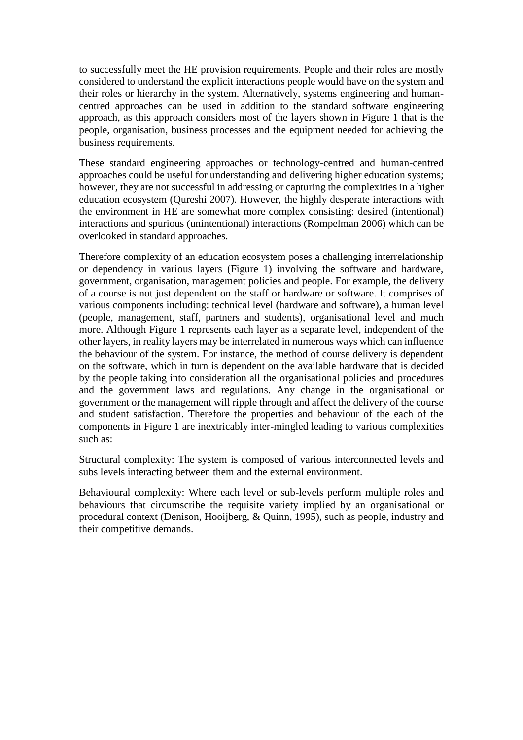to successfully meet the HE provision requirements. People and their roles are mostly considered to understand the explicit interactions people would have on the system and their roles or hierarchy in the system. Alternatively, systems engineering and humancentred approaches can be used in addition to the standard software engineering approach, as this approach considers most of the layers shown in Figure 1 that is the people, organisation, business processes and the equipment needed for achieving the business requirements.

These standard engineering approaches or technology-centred and human-centred approaches could be useful for understanding and delivering higher education systems; however, they are not successful in addressing or capturing the complexities in a higher education ecosystem (Qureshi 2007). However, the highly desperate interactions with the environment in HE are somewhat more complex consisting: desired (intentional) interactions and spurious (unintentional) interactions (Rompelman 2006) which can be overlooked in standard approaches.

Therefore complexity of an education ecosystem poses a challenging interrelationship or dependency in various layers (Figure 1) involving the software and hardware, government, organisation, management policies and people. For example, the delivery of a course is not just dependent on the staff or hardware or software. It comprises of various components including: technical level (hardware and software), a human level (people, management, staff, partners and students), organisational level and much more. Although Figure 1 represents each layer as a separate level, independent of the other layers, in reality layers may be interrelated in numerous ways which can influence the behaviour of the system. For instance, the method of course delivery is dependent on the software, which in turn is dependent on the available hardware that is decided by the people taking into consideration all the organisational policies and procedures and the government laws and regulations. Any change in the organisational or government or the management will ripple through and affect the delivery of the course and student satisfaction. Therefore the properties and behaviour of the each of the components in Figure 1 are inextricably inter-mingled leading to various complexities such as:

Structural complexity: The system is composed of various interconnected levels and subs levels interacting between them and the external environment.

Behavioural complexity: Where each level or sub-levels perform multiple roles and behaviours that circumscribe the requisite variety implied by an organisational or procedural context (Denison, Hooijberg, & Quinn, 1995), such as people, industry and their competitive demands.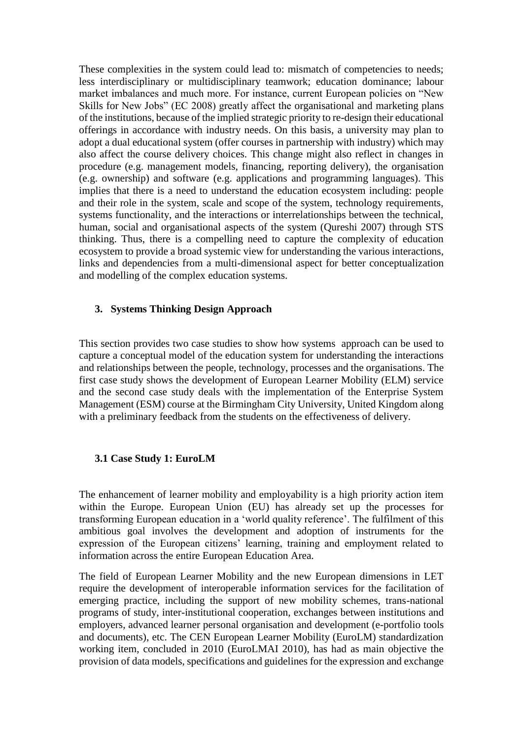These complexities in the system could lead to: mismatch of competencies to needs; less interdisciplinary or multidisciplinary teamwork; education dominance; labour market imbalances and much more. For instance, current European policies on "New Skills for New Jobs" (EC 2008) greatly affect the organisational and marketing plans of the institutions, because of the implied strategic priority to re-design their educational offerings in accordance with industry needs. On this basis, a university may plan to adopt a dual educational system (offer courses in partnership with industry) which may also affect the course delivery choices. This change might also reflect in changes in procedure (e.g. management models, financing, reporting delivery), the organisation (e.g. ownership) and software (e.g. applications and programming languages). This implies that there is a need to understand the education ecosystem including: people and their role in the system, scale and scope of the system, technology requirements, systems functionality, and the interactions or interrelationships between the technical, human, social and organisational aspects of the system (Qureshi 2007) through STS thinking. Thus, there is a compelling need to capture the complexity of education ecosystem to provide a broad systemic view for understanding the various interactions, links and dependencies from a multi-dimensional aspect for better conceptualization and modelling of the complex education systems.

#### **3. Systems Thinking Design Approach**

This section provides two case studies to show how systems approach can be used to capture a conceptual model of the education system for understanding the interactions and relationships between the people, technology, processes and the organisations. The first case study shows the development of European Learner Mobility (ELM) service and the second case study deals with the implementation of the Enterprise System Management (ESM) course at the Birmingham City University, United Kingdom along with a preliminary feedback from the students on the effectiveness of delivery.

#### **3.1 Case Study 1: EuroLM**

The enhancement of learner mobility and employability is a high priority action item within the Europe. European Union (EU) has already set up the processes for transforming European education in a 'world quality reference'. The fulfilment of this ambitious goal involves the development and adoption of instruments for the expression of the European citizens' learning, training and employment related to information across the entire European Education Area.

The field of European Learner Mobility and the new European dimensions in LET require the development of interoperable information services for the facilitation of emerging practice, including the support of new mobility schemes, trans-national programs of study, inter-institutional cooperation, exchanges between institutions and employers, advanced learner personal organisation and development (e-portfolio tools and documents), etc. The CEN European Learner Mobility (EuroLM) standardization working item, concluded in 2010 (EuroLMAI 2010), has had as main objective the provision of data models, specifications and guidelines for the expression and exchange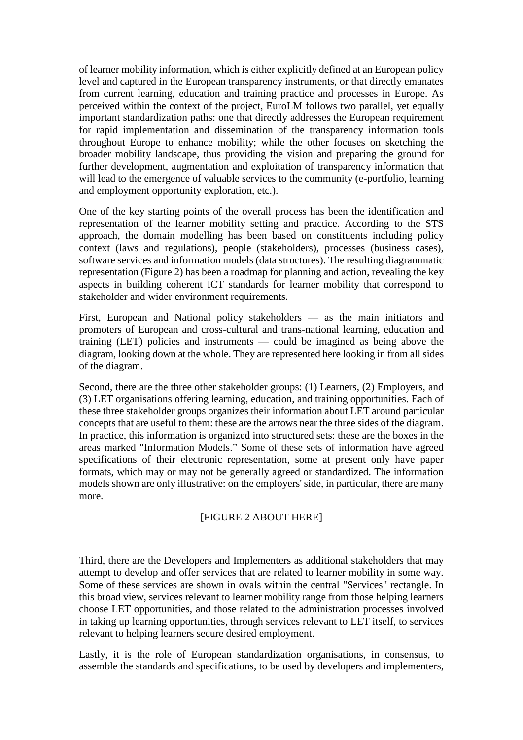of learner mobility information, which is either explicitly defined at an European policy level and captured in the European transparency instruments, or that directly emanates from current learning, education and training practice and processes in Europe. As perceived within the context of the project, EuroLM follows two parallel, yet equally important standardization paths: one that directly addresses the European requirement for rapid implementation and dissemination of the transparency information tools throughout Europe to enhance mobility; while the other focuses on sketching the broader mobility landscape, thus providing the vision and preparing the ground for further development, augmentation and exploitation of transparency information that will lead to the emergence of valuable services to the community (e-portfolio, learning and employment opportunity exploration, etc.).

One of the key starting points of the overall process has been the identification and representation of the learner mobility setting and practice. According to the STS approach, the domain modelling has been based on constituents including policy context (laws and regulations), people (stakeholders), processes (business cases), software services and information models (data structures). The resulting diagrammatic representation (Figure 2) has been a roadmap for planning and action, revealing the key aspects in building coherent ICT standards for learner mobility that correspond to stakeholder and wider environment requirements.

First, European and National policy stakeholders — as the main initiators and promoters of European and cross-cultural and trans-national learning, education and training (LET) policies and instruments — could be imagined as being above the diagram, looking down at the whole. They are represented here looking in from all sides of the diagram.

Second, there are the three other stakeholder groups: (1) Learners, (2) Employers, and (3) LET organisations offering learning, education, and training opportunities. Each of these three stakeholder groups organizes their information about LET around particular concepts that are useful to them: these are the arrows near the three sides of the diagram. In practice, this information is organized into structured sets: these are the boxes in the areas marked "Information Models." Some of these sets of information have agreed specifications of their electronic representation, some at present only have paper formats, which may or may not be generally agreed or standardized. The information models shown are only illustrative: on the employers' side, in particular, there are many more.

#### [FIGURE 2 ABOUT HERE]

Third, there are the Developers and Implementers as additional stakeholders that may attempt to develop and offer services that are related to learner mobility in some way. Some of these services are shown in ovals within the central "Services" rectangle. In this broad view, services relevant to learner mobility range from those helping learners choose LET opportunities, and those related to the administration processes involved in taking up learning opportunities, through services relevant to LET itself, to services relevant to helping learners secure desired employment.

Lastly, it is the role of European standardization organisations, in consensus, to assemble the standards and specifications, to be used by developers and implementers,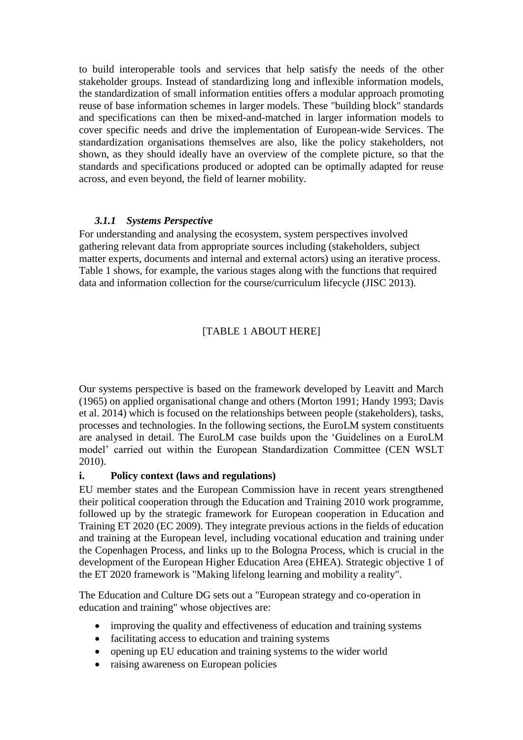to build interoperable tools and services that help satisfy the needs of the other stakeholder groups. Instead of standardizing long and inflexible information models, the standardization of small information entities offers a modular approach promoting reuse of base information schemes in larger models. These "building block" standards and specifications can then be mixed-and-matched in larger information models to cover specific needs and drive the implementation of European-wide Services. The standardization organisations themselves are also, like the policy stakeholders, not shown, as they should ideally have an overview of the complete picture, so that the standards and specifications produced or adopted can be optimally adapted for reuse across, and even beyond, the field of learner mobility.

### *3.1.1 Systems Perspective*

For understanding and analysing the ecosystem, system perspectives involved gathering relevant data from appropriate sources including (stakeholders, subject matter experts, documents and internal and external actors) using an iterative process. Table 1 shows, for example, the various stages along with the functions that required data and information collection for the course/curriculum lifecycle (JISC 2013).

## [TABLE 1 ABOUT HERE]

Our systems perspective is based on the framework developed by Leavitt and March (1965) on applied organisational change and others (Morton 1991; Handy 1993; Davis et al. 2014) which is focused on the relationships between people (stakeholders), tasks, processes and technologies. In the following sections, the EuroLM system constituents are analysed in detail. The EuroLM case builds upon the 'Guidelines on a EuroLM model' carried out within the European Standardization Committee (CEN WSLT 2010).

#### **i. Policy context (laws and regulations)**

EU member states and the European Commission have in recent years strengthened their political cooperation through the Education and Training 2010 work programme, followed up by the strategic framework for European cooperation in Education and Training ET 2020 (EC 2009). They integrate previous actions in the fields of education and training at the European level, including vocational education and training under the Copenhagen Process, and links up to the Bologna Process, which is crucial in the development of the European Higher Education Area (EHEA). Strategic objective 1 of the ET 2020 framework is "Making lifelong learning and mobility a reality".

The Education and Culture DG sets out a "European strategy and co-operation in education and training" whose objectives are:

- improving the quality and effectiveness of education and training systems
- facilitating access to education and training systems
- opening up EU education and training systems to the wider world
- raising awareness on European policies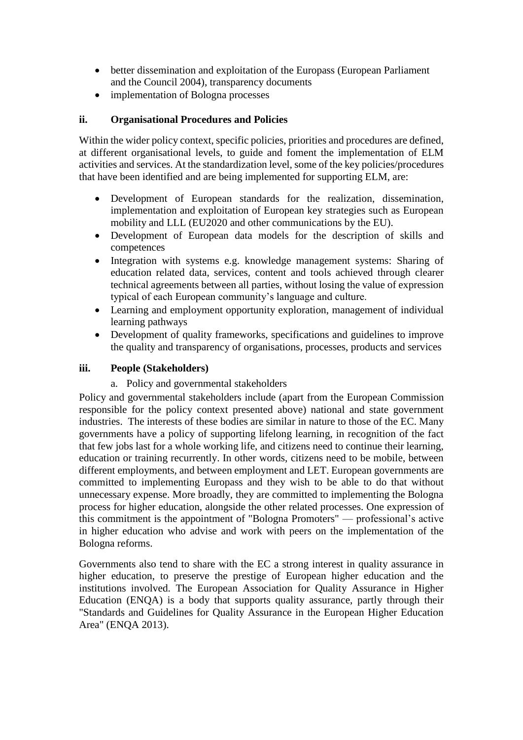- better dissemination and exploitation of the Europass (European Parliament and the Council 2004), transparency documents
- implementation of Bologna processes

## **ii. Organisational Procedures and Policies**

Within the wider policy context, specific policies, priorities and procedures are defined, at different organisational levels, to guide and foment the implementation of ELM activities and services. At the standardization level, some of the key policies/procedures that have been identified and are being implemented for supporting ELM, are:

- Development of European standards for the realization, dissemination, implementation and exploitation of European key strategies such as European mobility and LLL (EU2020 and other communications by the EU).
- Development of European data models for the description of skills and competences
- Integration with systems e.g. knowledge management systems: Sharing of education related data, services, content and tools achieved through clearer technical agreements between all parties, without losing the value of expression typical of each European community's language and culture.
- Learning and employment opportunity exploration, management of individual learning pathways
- Development of quality frameworks, specifications and guidelines to improve the quality and transparency of organisations, processes, products and services

## **iii. People (Stakeholders)**

## a. Policy and governmental stakeholders

Policy and governmental stakeholders include (apart from the European Commission responsible for the policy context presented above) national and state government industries. The interests of these bodies are similar in nature to those of the EC. Many governments have a policy of supporting lifelong learning, in recognition of the fact that few jobs last for a whole working life, and citizens need to continue their learning, education or training recurrently. In other words, citizens need to be mobile, between different employments, and between employment and LET. European governments are committed to implementing Europass and they wish to be able to do that without unnecessary expense. More broadly, they are committed to implementing the Bologna process for higher education, alongside the other related processes. One expression of this commitment is the appointment of "Bologna Promoters" — professional's active in higher education who advise and work with peers on the implementation of the Bologna reforms.

Governments also tend to share with the EC a strong interest in quality assurance in higher education, to preserve the prestige of European higher education and the institutions involved. The European Association for Quality Assurance in Higher Education (ENQA) is a body that supports quality assurance, partly through their "Standards and Guidelines for Quality Assurance in the European Higher Education Area" (ENQA 2013).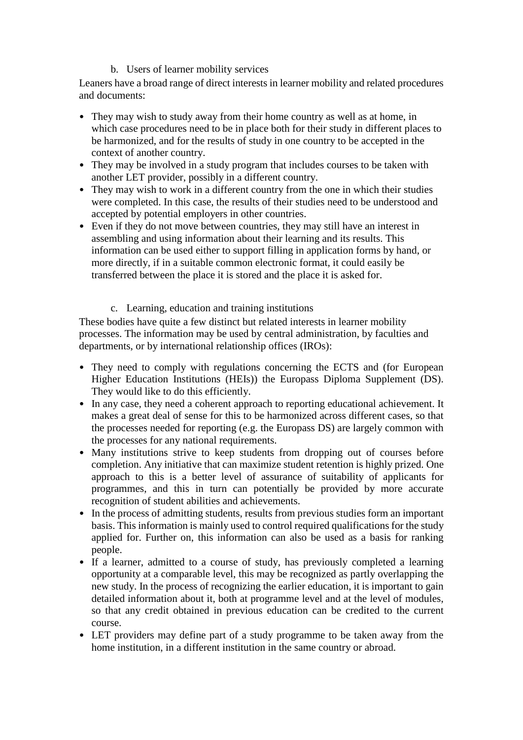## b. Users of learner mobility services

Leaners have a broad range of direct interests in learner mobility and related procedures and documents:

- They may wish to study away from their home country as well as at home, in which case procedures need to be in place both for their study in different places to be harmonized, and for the results of study in one country to be accepted in the context of another country.
- They may be involved in a study program that includes courses to be taken with another LET provider, possibly in a different country.
- They may wish to work in a different country from the one in which their studies were completed. In this case, the results of their studies need to be understood and accepted by potential employers in other countries.
- Even if they do not move between countries, they may still have an interest in assembling and using information about their learning and its results. This information can be used either to support filling in application forms by hand, or more directly, if in a suitable common electronic format, it could easily be transferred between the place it is stored and the place it is asked for.
	- c. Learning, education and training institutions

These bodies have quite a few distinct but related interests in learner mobility processes. The information may be used by central administration, by faculties and departments, or by international relationship offices (IROs):

- They need to comply with regulations concerning the ECTS and (for European Higher Education Institutions (HEIs)) the Europass Diploma Supplement (DS). They would like to do this efficiently.
- In any case, they need a coherent approach to reporting educational achievement. It makes a great deal of sense for this to be harmonized across different cases, so that the processes needed for reporting (e.g. the Europass DS) are largely common with the processes for any national requirements.
- Many institutions strive to keep students from dropping out of courses before completion. Any initiative that can maximize student retention is highly prized. One approach to this is a better level of assurance of suitability of applicants for programmes, and this in turn can potentially be provided by more accurate recognition of student abilities and achievements.
- In the process of admitting students, results from previous studies form an important basis. This information is mainly used to control required qualifications for the study applied for. Further on, this information can also be used as a basis for ranking people.
- If a learner, admitted to a course of study, has previously completed a learning opportunity at a comparable level, this may be recognized as partly overlapping the new study. In the process of recognizing the earlier education, it is important to gain detailed information about it, both at programme level and at the level of modules, so that any credit obtained in previous education can be credited to the current course.
- LET providers may define part of a study programme to be taken away from the home institution, in a different institution in the same country or abroad.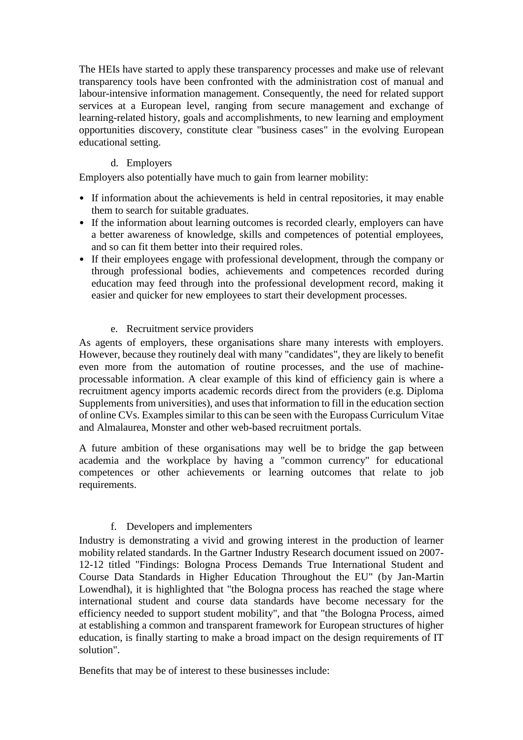The HEIs have started to apply these transparency processes and make use of relevant transparency tools have been confronted with the administration cost of manual and labour-intensive information management. Consequently, the need for related support services at a European level, ranging from secure management and exchange of learning-related history, goals and accomplishments, to new learning and employment opportunities discovery, constitute clear "business cases" in the evolving European educational setting.

## d. Employers

Employers also potentially have much to gain from learner mobility:

- If information about the achievements is held in central repositories, it may enable them to search for suitable graduates.
- If the information about learning outcomes is recorded clearly, employers can have a better awareness of knowledge, skills and competences of potential employees, and so can fit them better into their required roles.
- If their employees engage with professional development, through the company or through professional bodies, achievements and competences recorded during education may feed through into the professional development record, making it easier and quicker for new employees to start their development processes.

### e. Recruitment service providers

As agents of employers, these organisations share many interests with employers. However, because they routinely deal with many "candidates", they are likely to benefit even more from the automation of routine processes, and the use of machineprocessable information. A clear example of this kind of efficiency gain is where a recruitment agency imports academic records direct from the providers (e.g. Diploma Supplements from universities), and uses that information to fill in the education section of online CVs. Examples similar to this can be seen with the Europass Curriculum Vitae and Almalaurea, Monster and other web-based recruitment portals.

A future ambition of these organisations may well be to bridge the gap between academia and the workplace by having a "common currency" for educational competences or other achievements or learning outcomes that relate to job requirements.

## f. Developers and implementers

Industry is demonstrating a vivid and growing interest in the production of learner mobility related standards. In the Gartner Industry Research document issued on 2007- 12-12 titled "Findings: Bologna Process Demands True International Student and Course Data Standards in Higher Education Throughout the EU" (by Jan-Martin Lowendhal), it is highlighted that "the Bologna process has reached the stage where international student and course data standards have become necessary for the efficiency needed to support student mobility", and that "the Bologna Process, aimed at establishing a common and transparent framework for European structures of higher education, is finally starting to make a broad impact on the design requirements of IT solution".

Benefits that may be of interest to these businesses include: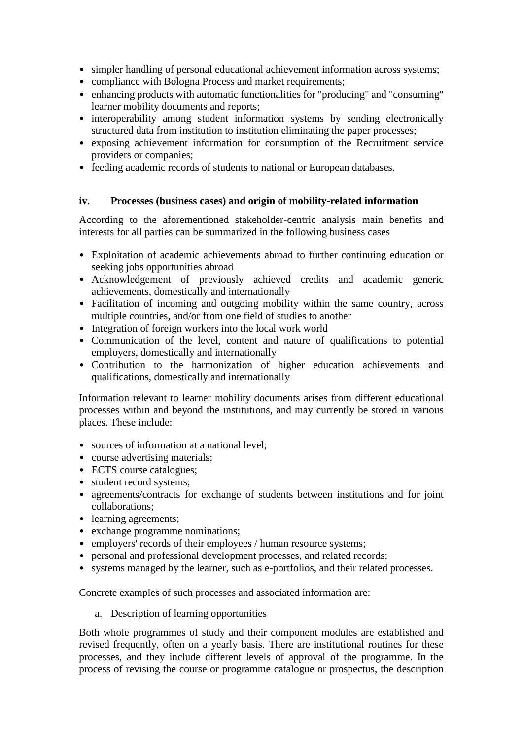- simpler handling of personal educational achievement information across systems;
- compliance with Bologna Process and market requirements;
- enhancing products with automatic functionalities for "producing" and "consuming" learner mobility documents and reports;
- interoperability among student information systems by sending electronically structured data from institution to institution eliminating the paper processes;
- exposing achievement information for consumption of the Recruitment service providers or companies;
- feeding academic records of students to national or European databases.

### **iv. Processes (business cases) and origin of mobility-related information**

According to the aforementioned stakeholder-centric analysis main benefits and interests for all parties can be summarized in the following business cases

- Exploitation of academic achievements abroad to further continuing education or seeking jobs opportunities abroad
- Acknowledgement of previously achieved credits and academic generic achievements, domestically and internationally
- Facilitation of incoming and outgoing mobility within the same country, across multiple countries, and/or from one field of studies to another
- Integration of foreign workers into the local work world
- Communication of the level, content and nature of qualifications to potential employers, domestically and internationally
- Contribution to the harmonization of higher education achievements and qualifications, domestically and internationally

Information relevant to learner mobility documents arises from different educational processes within and beyond the institutions, and may currently be stored in various places. These include:

- sources of information at a national level;
- course advertising materials;
- ECTS course catalogues;
- student record systems;
- agreements/contracts for exchange of students between institutions and for joint collaborations;
- learning agreements;
- exchange programme nominations;
- employers' records of their employees / human resource systems;
- personal and professional development processes, and related records;
- systems managed by the learner, such as e-portfolios, and their related processes.

Concrete examples of such processes and associated information are:

a. Description of learning opportunities

Both whole programmes of study and their component modules are established and revised frequently, often on a yearly basis. There are institutional routines for these processes, and they include different levels of approval of the programme. In the process of revising the course or programme catalogue or prospectus, the description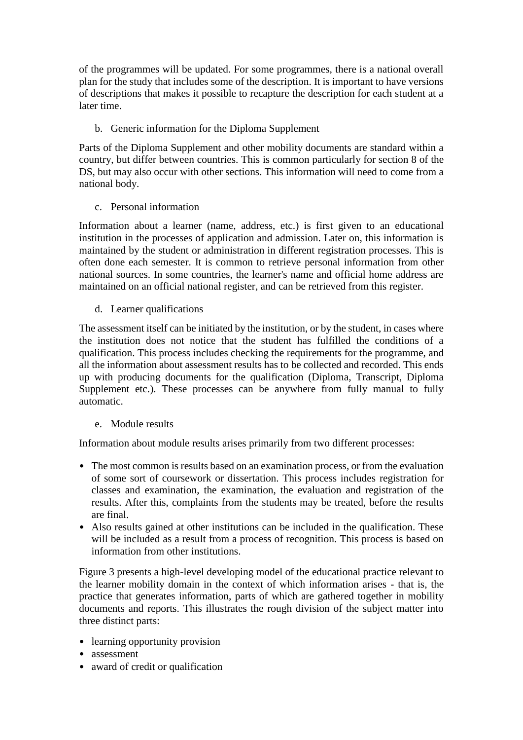of the programmes will be updated. For some programmes, there is a national overall plan for the study that includes some of the description. It is important to have versions of descriptions that makes it possible to recapture the description for each student at a later time.

## b. Generic information for the Diploma Supplement

Parts of the Diploma Supplement and other mobility documents are standard within a country, but differ between countries. This is common particularly for section 8 of the DS, but may also occur with other sections. This information will need to come from a national body.

## c. Personal information

Information about a learner (name, address, etc.) is first given to an educational institution in the processes of application and admission. Later on, this information is maintained by the student or administration in different registration processes. This is often done each semester. It is common to retrieve personal information from other national sources. In some countries, the learner's name and official home address are maintained on an official national register, and can be retrieved from this register.

### d. Learner qualifications

The assessment itself can be initiated by the institution, or by the student, in cases where the institution does not notice that the student has fulfilled the conditions of a qualification. This process includes checking the requirements for the programme, and all the information about assessment results has to be collected and recorded. This ends up with producing documents for the qualification (Diploma, Transcript, Diploma Supplement etc.). These processes can be anywhere from fully manual to fully automatic.

## e. Module results

Information about module results arises primarily from two different processes:

- The most common is results based on an examination process, or from the evaluation of some sort of coursework or dissertation. This process includes registration for classes and examination, the examination, the evaluation and registration of the results. After this, complaints from the students may be treated, before the results are final.
- Also results gained at other institutions can be included in the qualification. These will be included as a result from a process of recognition. This process is based on information from other institutions.

Figure 3 presents a high-level developing model of the educational practice relevant to the learner mobility domain in the context of which information arises - that is, the practice that generates information, parts of which are gathered together in mobility documents and reports. This illustrates the rough division of the subject matter into three distinct parts:

- learning opportunity provision
- assessment
- award of credit or qualification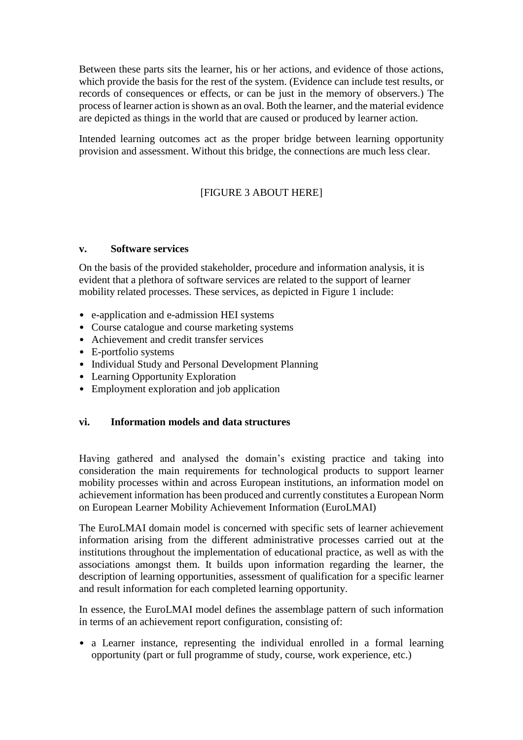Between these parts sits the learner, his or her actions, and evidence of those actions, which provide the basis for the rest of the system. (Evidence can include test results, or records of consequences or effects, or can be just in the memory of observers.) The process of learner action is shown as an oval. Both the learner, and the material evidence are depicted as things in the world that are caused or produced by learner action.

Intended learning outcomes act as the proper bridge between learning opportunity provision and assessment. Without this bridge, the connections are much less clear.

## [FIGURE 3 ABOUT HERE]

#### **v. Software services**

On the basis of the provided stakeholder, procedure and information analysis, it is evident that a plethora of software services are related to the support of learner mobility related processes. These services, as depicted in Figure 1 include:

- e-application and e-admission HEI systems
- Course catalogue and course marketing systems
- Achievement and credit transfer services
- E-portfolio systems
- Individual Study and Personal Development Planning
- Learning Opportunity Exploration
- Employment exploration and job application

#### **vi. Information models and data structures**

Having gathered and analysed the domain's existing practice and taking into consideration the main requirements for technological products to support learner mobility processes within and across European institutions, an information model on achievement information has been produced and currently constitutes a European Norm on European Learner Mobility Achievement Information (EuroLMAI)

The EuroLMAI domain model is concerned with specific sets of learner achievement information arising from the different administrative processes carried out at the institutions throughout the implementation of educational practice, as well as with the associations amongst them. It builds upon information regarding the learner, the description of learning opportunities, assessment of qualification for a specific learner and result information for each completed learning opportunity.

In essence, the EuroLMAI model defines the assemblage pattern of such information in terms of an achievement report configuration, consisting of:

• a Learner instance, representing the individual enrolled in a formal learning opportunity (part or full programme of study, course, work experience, etc.)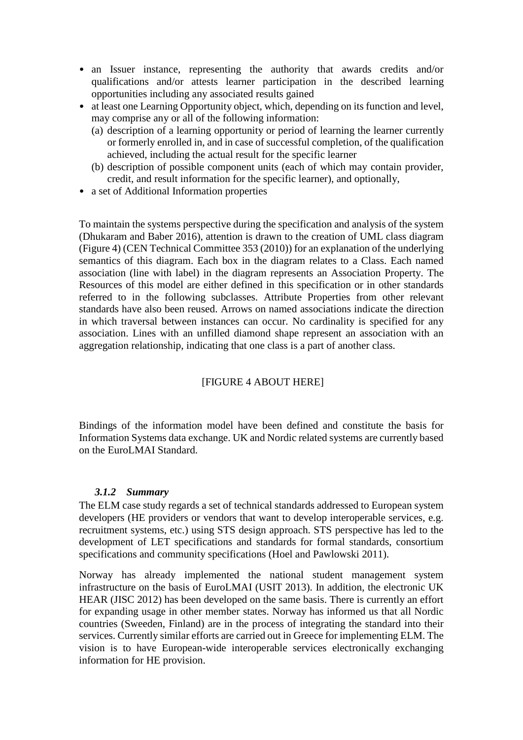- an Issuer instance, representing the authority that awards credits and/or qualifications and/or attests learner participation in the described learning opportunities including any associated results gained
- at least one Learning Opportunity object, which, depending on its function and level, may comprise any or all of the following information:
	- (a) description of a learning opportunity or period of learning the learner currently or formerly enrolled in, and in case of successful completion, of the qualification achieved, including the actual result for the specific learner
	- (b) description of possible component units (each of which may contain provider, credit, and result information for the specific learner), and optionally,
- a set of Additional Information properties

To maintain the systems perspective during the specification and analysis of the system (Dhukaram and Baber 2016), attention is drawn to the creation of UML class diagram (Figure 4) (CEN Technical Committee 353 (2010)) for an explanation of the underlying semantics of this diagram. Each box in the diagram relates to a Class. Each named association (line with label) in the diagram represents an Association Property. The Resources of this model are either defined in this specification or in other standards referred to in the following subclasses. Attribute Properties from other relevant standards have also been reused. Arrows on named associations indicate the direction in which traversal between instances can occur. No cardinality is specified for any association. Lines with an unfilled diamond shape represent an association with an aggregation relationship, indicating that one class is a part of another class.

#### [FIGURE 4 ABOUT HERE]

Bindings of the information model have been defined and constitute the basis for Information Systems data exchange. UK and Nordic related systems are currently based on the EuroLMAI Standard.

#### *3.1.2 Summary*

The ELM case study regards a set of technical standards addressed to European system developers (HE providers or vendors that want to develop interoperable services, e.g. recruitment systems, etc.) using STS design approach. STS perspective has led to the development of LET specifications and standards for formal standards, consortium specifications and community specifications (Hoel and Pawlowski 2011).

Norway has already implemented the national student management system infrastructure on the basis of EuroLMAI (USIT 2013). In addition, the electronic UK HEAR (JISC 2012) has been developed on the same basis. There is currently an effort for expanding usage in other member states. Norway has informed us that all Nordic countries (Sweeden, Finland) are in the process of integrating the standard into their services. Currently similar efforts are carried out in Greece for implementing ELM. The vision is to have European-wide interoperable services electronically exchanging information for HE provision.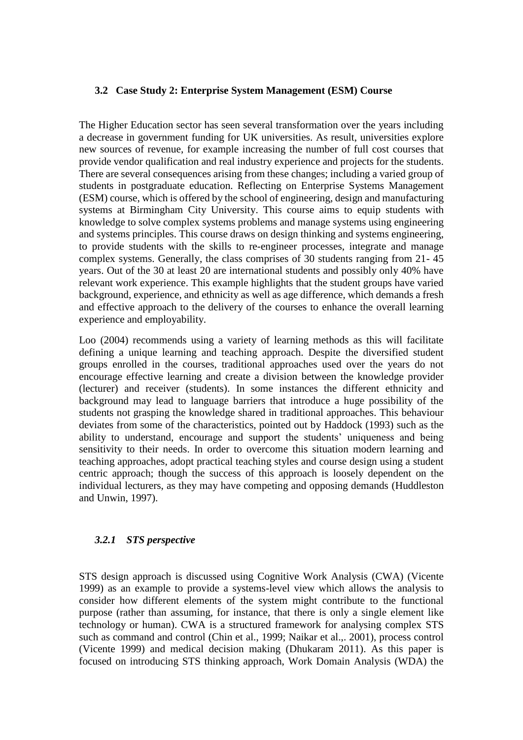## **3.2 Case Study 2: Enterprise System Management (ESM) Course**

The Higher Education sector has seen several transformation over the years including a decrease in government funding for UK universities. As result, universities explore new sources of revenue, for example increasing the number of full cost courses that provide vendor qualification and real industry experience and projects for the students. There are several consequences arising from these changes; including a varied group of students in postgraduate education. Reflecting on Enterprise Systems Management (ESM) course, which is offered by the school of engineering, design and manufacturing systems at Birmingham City University. This course aims to equip students with knowledge to solve complex systems problems and manage systems using engineering and systems principles. This course draws on design thinking and systems engineering, to provide students with the skills to re-engineer processes, integrate and manage complex systems. Generally, the class comprises of 30 students ranging from 21- 45 years. Out of the 30 at least 20 are international students and possibly only 40% have relevant work experience. This example highlights that the student groups have varied background, experience, and ethnicity as well as age difference, which demands a fresh and effective approach to the delivery of the courses to enhance the overall learning experience and employability.

Loo (2004) recommends using a variety of learning methods as this will facilitate defining a unique learning and teaching approach. Despite the diversified student groups enrolled in the courses, traditional approaches used over the years do not encourage effective learning and create a division between the knowledge provider (lecturer) and receiver (students). In some instances the different ethnicity and background may lead to language barriers that introduce a huge possibility of the students not grasping the knowledge shared in traditional approaches. This behaviour deviates from some of the characteristics, pointed out by Haddock (1993) such as the ability to understand, encourage and support the students' uniqueness and being sensitivity to their needs. In order to overcome this situation modern learning and teaching approaches, adopt practical teaching styles and course design using a student centric approach; though the success of this approach is loosely dependent on the individual lecturers, as they may have competing and opposing demands (Huddleston and Unwin, 1997).

#### *3.2.1 STS perspective*

STS design approach is discussed using Cognitive Work Analysis (CWA) (Vicente 1999) as an example to provide a systems-level view which allows the analysis to consider how different elements of the system might contribute to the functional purpose (rather than assuming, for instance, that there is only a single element like technology or human). CWA is a structured framework for analysing complex STS such as command and control (Chin et al., 1999; Naikar et al.,. 2001), process control (Vicente 1999) and medical decision making (Dhukaram 2011). As this paper is focused on introducing STS thinking approach, Work Domain Analysis (WDA) the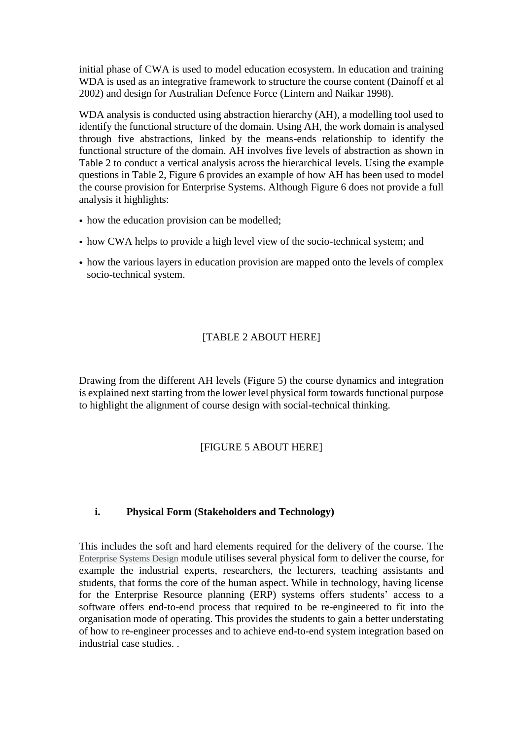initial phase of CWA is used to model education ecosystem. In education and training WDA is used as an integrative framework to structure the course content (Dainoff et al 2002) and design for Australian Defence Force (Lintern and Naikar 1998).

WDA analysis is conducted using abstraction hierarchy (AH), a modelling tool used to identify the functional structure of the domain. Using AH, the work domain is analysed through five abstractions, linked by the means-ends relationship to identify the functional structure of the domain. AH involves five levels of abstraction as shown in Table 2 to conduct a vertical analysis across the hierarchical levels. Using the example questions in Table 2, Figure 6 provides an example of how AH has been used to model the course provision for Enterprise Systems. Although Figure 6 does not provide a full analysis it highlights:

- how the education provision can be modelled;
- how CWA helps to provide a high level view of the socio-technical system; and
- how the various layers in education provision are mapped onto the levels of complex socio-technical system.

## [TABLE 2 ABOUT HERE]

Drawing from the different AH levels (Figure 5) the course dynamics and integration is explained next starting from the lower level physical form towards functional purpose to highlight the alignment of course design with social-technical thinking.

## [FIGURE 5 ABOUT HERE]

## **i. Physical Form (Stakeholders and Technology)**

This includes the soft and hard elements required for the delivery of the course. The Enterprise Systems Design module utilises several physical form to deliver the course, for example the industrial experts, researchers, the lecturers, teaching assistants and students, that forms the core of the human aspect. While in technology, having license for the Enterprise Resource planning (ERP) systems offers students' access to a software offers end-to-end process that required to be re-engineered to fit into the organisation mode of operating. This provides the students to gain a better understating of how to re-engineer processes and to achieve end-to-end system integration based on industrial case studies. .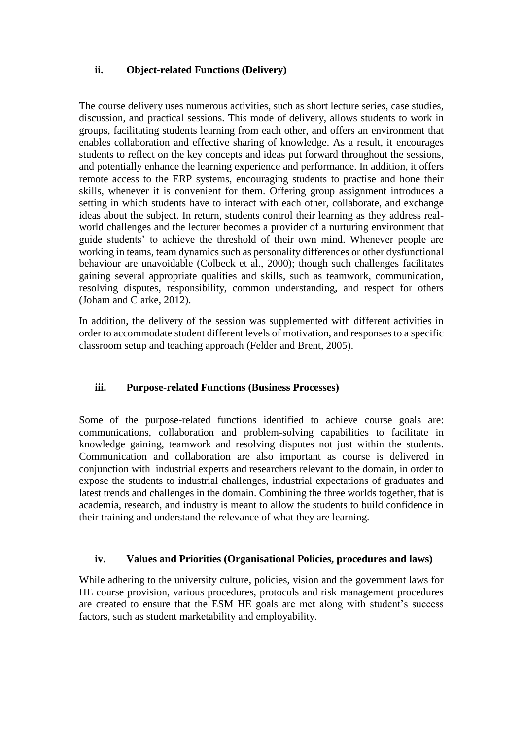## **ii. Object-related Functions (Delivery)**

The course delivery uses numerous activities, such as short lecture series, case studies, discussion, and practical sessions. This mode of delivery, allows students to work in groups, facilitating students learning from each other, and offers an environment that enables collaboration and effective sharing of knowledge. As a result, it encourages students to reflect on the key concepts and ideas put forward throughout the sessions, and potentially enhance the learning experience and performance. In addition, it offers remote access to the ERP systems, encouraging students to practise and hone their skills, whenever it is convenient for them. Offering group assignment introduces a setting in which students have to interact with each other, collaborate, and exchange ideas about the subject. In return, students control their learning as they address realworld challenges and the lecturer becomes a provider of a nurturing environment that guide students' to achieve the threshold of their own mind. Whenever people are working in teams, team dynamics such as personality differences or other dysfunctional behaviour are unavoidable (Colbeck et al., 2000); though such challenges facilitates gaining several appropriate qualities and skills, such as teamwork, communication, resolving disputes, responsibility, common understanding, and respect for others (Joham and Clarke, 2012).

In addition, the delivery of the session was supplemented with different activities in order to accommodate student different levels of motivation, and responses to a specific classroom setup and teaching approach (Felder and Brent, 2005).

## **iii. Purpose-related Functions (Business Processes)**

Some of the purpose-related functions identified to achieve course goals are: communications, collaboration and problem-solving capabilities to facilitate in knowledge gaining, teamwork and resolving disputes not just within the students. Communication and collaboration are also important as course is delivered in conjunction with industrial experts and researchers relevant to the domain, in order to expose the students to industrial challenges, industrial expectations of graduates and latest trends and challenges in the domain. Combining the three worlds together, that is academia, research, and industry is meant to allow the students to build confidence in their training and understand the relevance of what they are learning.

#### **iv. Values and Priorities (Organisational Policies, procedures and laws)**

While adhering to the university culture, policies, vision and the government laws for HE course provision, various procedures, protocols and risk management procedures are created to ensure that the ESM HE goals are met along with student's success factors, such as student marketability and employability.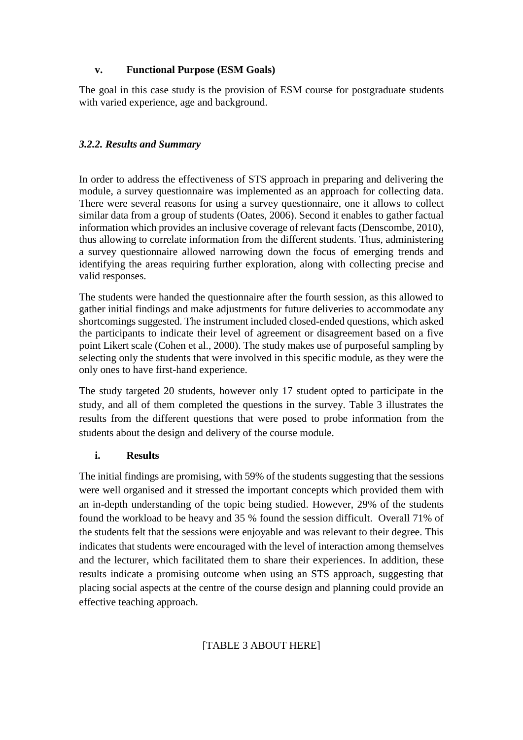## **v. Functional Purpose (ESM Goals)**

The goal in this case study is the provision of ESM course for postgraduate students with varied experience, age and background.

## *3.2.2. Results and Summary*

In order to address the effectiveness of STS approach in preparing and delivering the module, a survey questionnaire was implemented as an approach for collecting data. There were several reasons for using a survey questionnaire, one it allows to collect similar data from a group of students (Oates, 2006). Second it enables to gather factual information which provides an inclusive coverage of relevant facts (Denscombe, 2010), thus allowing to correlate information from the different students. Thus, administering a survey questionnaire allowed narrowing down the focus of emerging trends and identifying the areas requiring further exploration, along with collecting precise and valid responses.

The students were handed the questionnaire after the fourth session, as this allowed to gather initial findings and make adjustments for future deliveries to accommodate any shortcomings suggested. The instrument included closed-ended questions, which asked the participants to indicate their level of agreement or disagreement based on a five point Likert scale (Cohen et al., 2000). The study makes use of purposeful sampling by selecting only the students that were involved in this specific module, as they were the only ones to have first-hand experience.

The study targeted 20 students, however only 17 student opted to participate in the study, and all of them completed the questions in the survey. Table 3 illustrates the results from the different questions that were posed to probe information from the students about the design and delivery of the course module.

## **i. Results**

The initial findings are promising, with 59% of the students suggesting that the sessions were well organised and it stressed the important concepts which provided them with an in-depth understanding of the topic being studied. However, 29% of the students found the workload to be heavy and 35 % found the session difficult. Overall 71% of the students felt that the sessions were enjoyable and was relevant to their degree. This indicates that students were encouraged with the level of interaction among themselves and the lecturer, which facilitated them to share their experiences. In addition, these results indicate a promising outcome when using an STS approach, suggesting that placing social aspects at the centre of the course design and planning could provide an effective teaching approach.

## [TABLE 3 ABOUT HERE]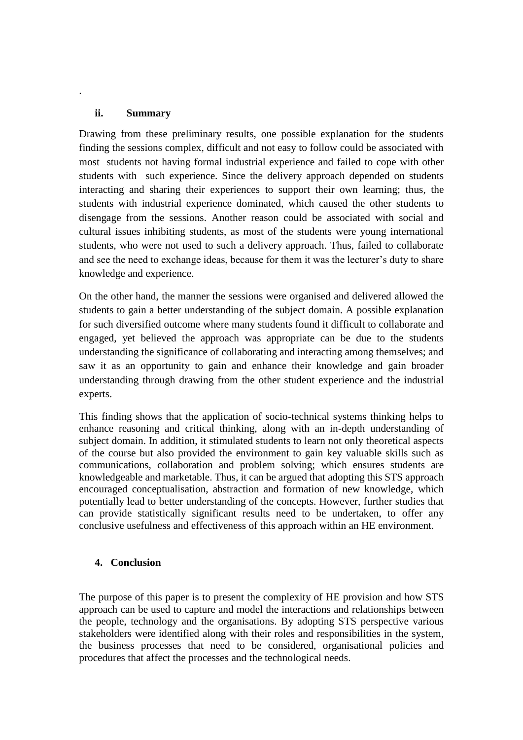#### **ii. Summary**

.

Drawing from these preliminary results, one possible explanation for the students finding the sessions complex, difficult and not easy to follow could be associated with most students not having formal industrial experience and failed to cope with other students with such experience. Since the delivery approach depended on students interacting and sharing their experiences to support their own learning; thus, the students with industrial experience dominated, which caused the other students to disengage from the sessions. Another reason could be associated with social and cultural issues inhibiting students, as most of the students were young international students, who were not used to such a delivery approach. Thus, failed to collaborate and see the need to exchange ideas, because for them it was the lecturer's duty to share knowledge and experience.

On the other hand, the manner the sessions were organised and delivered allowed the students to gain a better understanding of the subject domain. A possible explanation for such diversified outcome where many students found it difficult to collaborate and engaged, yet believed the approach was appropriate can be due to the students understanding the significance of collaborating and interacting among themselves; and saw it as an opportunity to gain and enhance their knowledge and gain broader understanding through drawing from the other student experience and the industrial experts.

This finding shows that the application of socio-technical systems thinking helps to enhance reasoning and critical thinking, along with an in-depth understanding of subject domain. In addition, it stimulated students to learn not only theoretical aspects of the course but also provided the environment to gain key valuable skills such as communications, collaboration and problem solving; which ensures students are knowledgeable and marketable. Thus, it can be argued that adopting this STS approach encouraged conceptualisation, abstraction and formation of new knowledge, which potentially lead to better understanding of the concepts. However, further studies that can provide statistically significant results need to be undertaken, to offer any conclusive usefulness and effectiveness of this approach within an HE environment.

## **4. Conclusion**

The purpose of this paper is to present the complexity of HE provision and how STS approach can be used to capture and model the interactions and relationships between the people, technology and the organisations. By adopting STS perspective various stakeholders were identified along with their roles and responsibilities in the system, the business processes that need to be considered, organisational policies and procedures that affect the processes and the technological needs.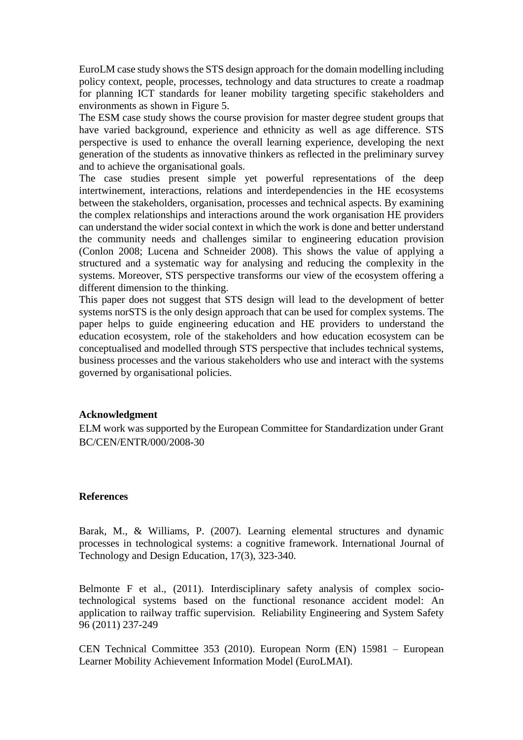EuroLM case study shows the STS design approach for the domain modelling including policy context, people, processes, technology and data structures to create a roadmap for planning ICT standards for leaner mobility targeting specific stakeholders and environments as shown in Figure 5.

The ESM case study shows the course provision for master degree student groups that have varied background, experience and ethnicity as well as age difference. STS perspective is used to enhance the overall learning experience, developing the next generation of the students as innovative thinkers as reflected in the preliminary survey and to achieve the organisational goals.

The case studies present simple yet powerful representations of the deep intertwinement, interactions, relations and interdependencies in the HE ecosystems between the stakeholders, organisation, processes and technical aspects. By examining the complex relationships and interactions around the work organisation HE providers can understand the wider social context in which the work is done and better understand the community needs and challenges similar to engineering education provision (Conlon 2008; Lucena and Schneider 2008). This shows the value of applying a structured and a systematic way for analysing and reducing the complexity in the systems. Moreover, STS perspective transforms our view of the ecosystem offering a different dimension to the thinking.

This paper does not suggest that STS design will lead to the development of better systems norSTS is the only design approach that can be used for complex systems. The paper helps to guide engineering education and HE providers to understand the education ecosystem, role of the stakeholders and how education ecosystem can be conceptualised and modelled through STS perspective that includes technical systems, business processes and the various stakeholders who use and interact with the systems governed by organisational policies.

#### **Acknowledgment**

ELM work was supported by the European Committee for Standardization under Grant BC/CEN/ENTR/000/2008-30

#### **References**

Barak, M., & Williams, P. (2007). Learning elemental structures and dynamic processes in technological systems: a cognitive framework. International Journal of Technology and Design Education, 17(3), 323-340.

Belmonte F et al., (2011). Interdisciplinary safety analysis of complex sociotechnological systems based on the functional resonance accident model: An application to railway traffic supervision. Reliability Engineering and System Safety 96 (2011) 237-249

CEN Technical Committee 353 (2010). European Norm (EN) 15981 – European Learner Mobility Achievement Information Model (EuroLMAI).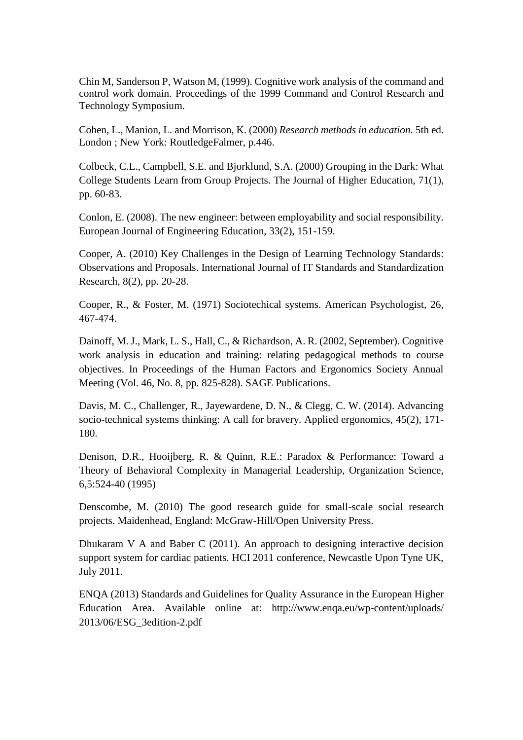Chin M, Sanderson P, Watson M, (1999). Cognitive work analysis of the command and control work domain. Proceedings of the 1999 Command and Control Research and Technology Symposium.

Cohen, L., Manion, L. and Morrison, K. (2000) *Research methods in education.* 5th ed. London ; New York: RoutledgeFalmer, p.446.

Colbeck, C.L., Campbell, S.E. and Bjorklund, S.A. (2000) Grouping in the Dark: What College Students Learn from Group Projects. The Journal of Higher Education, 71(1), pp. 60-83.

Conlon, E. (2008). The new engineer: between employability and social responsibility. European Journal of Engineering Education, 33(2), 151-159.

Cooper, A. (2010) Key Challenges in the Design of Learning Technology Standards: Observations and Proposals. International Journal of IT Standards and Standardization Research, 8(2), pp. 20-28.

Cooper, R., & Foster, M. (1971) Sociotechical systems. American Psychologist, 26, 467-474.

Dainoff, M. J., Mark, L. S., Hall, C., & Richardson, A. R. (2002, September). Cognitive work analysis in education and training: relating pedagogical methods to course objectives. In Proceedings of the Human Factors and Ergonomics Society Annual Meeting (Vol. 46, No. 8, pp. 825-828). SAGE Publications.

Davis, M. C., Challenger, R., Jayewardene, D. N., & Clegg, C. W. (2014). Advancing socio-technical systems thinking: A call for bravery. Applied ergonomics, 45(2), 171- 180.

Denison, D.R., Hooijberg, R. & Quinn, R.E.: Paradox & Performance: Toward a Theory of Behavioral Complexity in Managerial Leadership, Organization Science, 6,5:524-40 (1995)

Denscombe, M. (2010) The good research guide for small-scale social research projects. Maidenhead, England: McGraw-Hill/Open University Press.

Dhukaram V A and Baber C (2011). An approach to designing interactive decision support system for cardiac patients. HCI 2011 conference, Newcastle Upon Tyne UK, July 2011.

ENQA (2013) Standards and Guidelines for Quality Assurance in the European Higher Education Area. Available online at: <http://www.enqa.eu/wp-content/uploads/> 2013/06/ESG\_3edition-2.pdf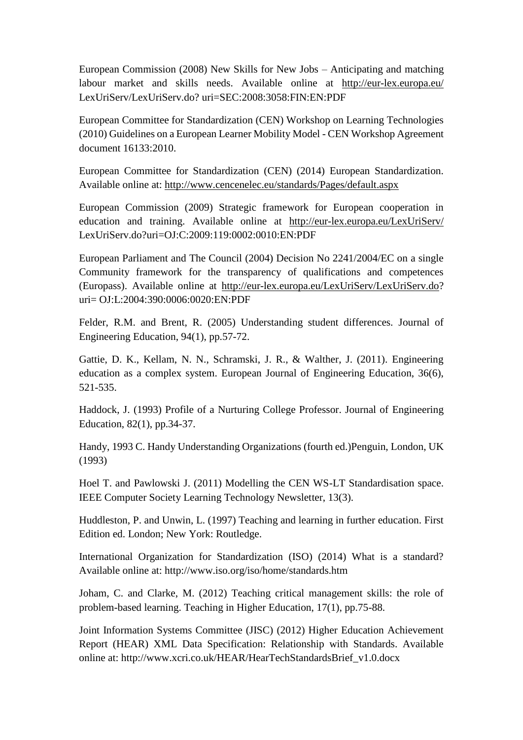European Commission (2008) New Skills for New Jobs – Anticipating and matching labour market and skills needs. Available online at <http://eur-lex.europa.eu/> LexUriServ/LexUriServ.do? uri=SEC:2008:3058:FIN:EN:PDF

European Committee for Standardization (CEN) Workshop on Learning Technologies (2010) Guidelines on a European Learner Mobility Model - CEN Workshop Agreement document 16133:2010.

European Committee for Standardization (CEN) (2014) European Standardization. Available online at:<http://www.cencenelec.eu/standards/Pages/default.aspx>

European Commission (2009) Strategic framework for European cooperation in education and training. Available online at <http://eur-lex.europa.eu/LexUriServ/> LexUriServ.do?uri=OJ:C:2009:119:0002:0010:EN:PDF

European Parliament and The Council (2004) Decision No 2241/2004/EC on a single Community framework for the transparency of qualifications and competences (Europass). Available online at [http://eur-lex.europa.eu/LexUriServ/LexUriServ.do?](http://eur-lex.europa.eu/LexUriServ/LexUriServ.do) uri= OJ:L:2004:390:0006:0020:EN:PDF

Felder, R.M. and Brent, R. (2005) Understanding student differences. Journal of Engineering Education, 94(1), pp.57-72.

Gattie, D. K., Kellam, N. N., Schramski, J. R., & Walther, J. (2011). Engineering education as a complex system. European Journal of Engineering Education, 36(6), 521-535.

Haddock, J. (1993) Profile of a Nurturing College Professor. Journal of Engineering Education, 82(1), pp.34-37.

Handy, 1993 C. Handy Understanding Organizations (fourth ed.)Penguin, London, UK (1993)

Hoel T. and Pawlowski J. (2011) Modelling the CEN WS-LT Standardisation space. IEEE Computer Society Learning Technology Newsletter, 13(3).

Huddleston, P. and Unwin, L. (1997) Teaching and learning in further education. First Edition ed. London; New York: Routledge.

International Organization for Standardization (ISO) (2014) What is a standard? Available online at: http://www.iso.org/iso/home/standards.htm

Joham, C. and Clarke, M. (2012) Teaching critical management skills: the role of problem-based learning. Teaching in Higher Education, 17(1), pp.75-88.

Joint Information Systems Committee (JISC) (2012) Higher Education Achievement Report (HEAR) XML Data Specification: Relationship with Standards. Available online at: http://www.xcri.co.uk/HEAR/HearTechStandardsBrief\_v1.0.docx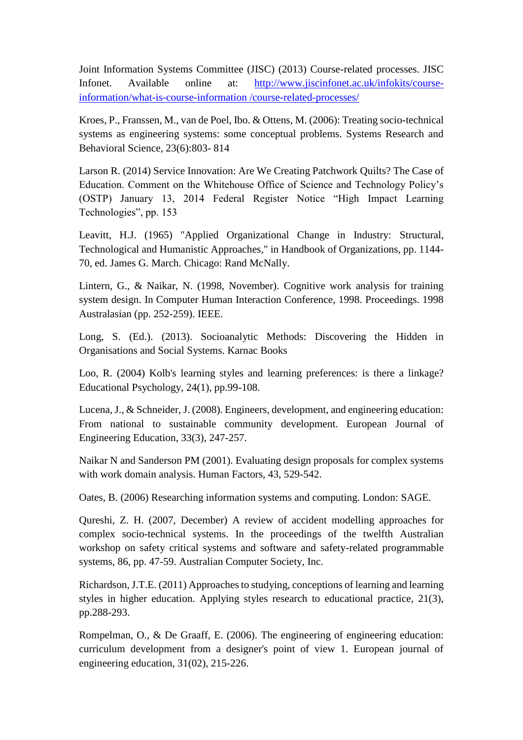Joint Information Systems Committee (JISC) (2013) Course-related processes. JISC Infonet. Available online at: [http://www.jiscinfonet.ac.uk/infokits/course](http://www.jiscinfonet.ac.uk/infokits/course-information/what-is-course-information%20/course-related-processes/)[information/what-is-course-information /course-related-processes/](http://www.jiscinfonet.ac.uk/infokits/course-information/what-is-course-information%20/course-related-processes/)

Kroes, P., Franssen, M., van de Poel, Ibo. & Ottens, M. (2006): Treating socio-technical systems as engineering systems: some conceptual problems. Systems Research and Behavioral Science, 23(6):803- 814

Larson R. (2014) Service Innovation: Are We Creating Patchwork Quilts? The Case of Education. Comment on the Whitehouse Office of Science and Technology Policy's (OSTP) January 13, 2014 Federal Register Notice "High Impact Learning Technologies", pp. 153

Leavitt, H.J. (1965) "Applied Organizational Change in Industry: Structural, Technological and Humanistic Approaches," in Handbook of Organizations, pp. 1144- 70, ed. James G. March. Chicago: Rand McNally.

Lintern, G., & Naikar, N. (1998, November). Cognitive work analysis for training system design. In Computer Human Interaction Conference, 1998. Proceedings. 1998 Australasian (pp. 252-259). IEEE.

Long, S. (Ed.). (2013). Socioanalytic Methods: Discovering the Hidden in Organisations and Social Systems. Karnac Books

Loo, R. (2004) Kolb's learning styles and learning preferences: is there a linkage? Educational Psychology, 24(1), pp.99-108.

Lucena, J., & Schneider, J. (2008). Engineers, development, and engineering education: From national to sustainable community development. European Journal of Engineering Education, 33(3), 247-257.

Naikar N and Sanderson PM (2001). Evaluating design proposals for complex systems with work domain analysis. Human Factors, 43, 529-542.

Oates, B. (2006) Researching information systems and computing. London: SAGE.

Qureshi, Z. H. (2007, December) A review of accident modelling approaches for complex socio-technical systems. In the proceedings of the twelfth Australian workshop on safety critical systems and software and safety-related programmable systems, 86, pp. 47-59. Australian Computer Society, Inc.

Richardson, J.T.E. (2011) Approaches to studying, conceptions of learning and learning styles in higher education. Applying styles research to educational practice, 21(3), pp.288-293.

Rompelman, O., & De Graaff, E. (2006). The engineering of engineering education: curriculum development from a designer's point of view 1. European journal of engineering education, 31(02), 215-226.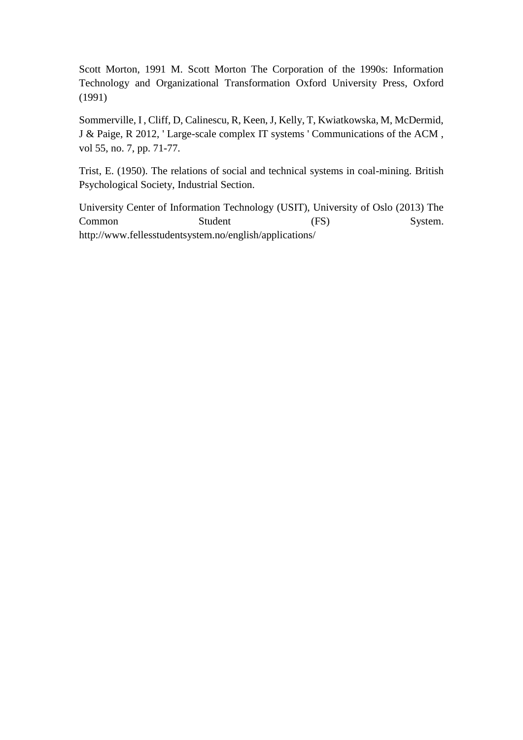Scott Morton, 1991 M. Scott Morton The Corporation of the 1990s: Information Technology and Organizational Transformation Oxford University Press, Oxford (1991)

Sommerville, I , Cliff, D, Calinescu, R, Keen, J, Kelly, T, Kwiatkowska, M, McDermid, J & Paige, R 2012, ' Large-scale complex IT systems ' Communications of the ACM , vol 55, no. 7, pp. 71-77.

Trist, E. (1950). The relations of social and technical systems in coal-mining. British Psychological Society, Industrial Section.

University Center of Information Technology (USIT), University of Oslo (2013) The Common Student (FS) System. http://www.fellesstudentsystem.no/english/applications/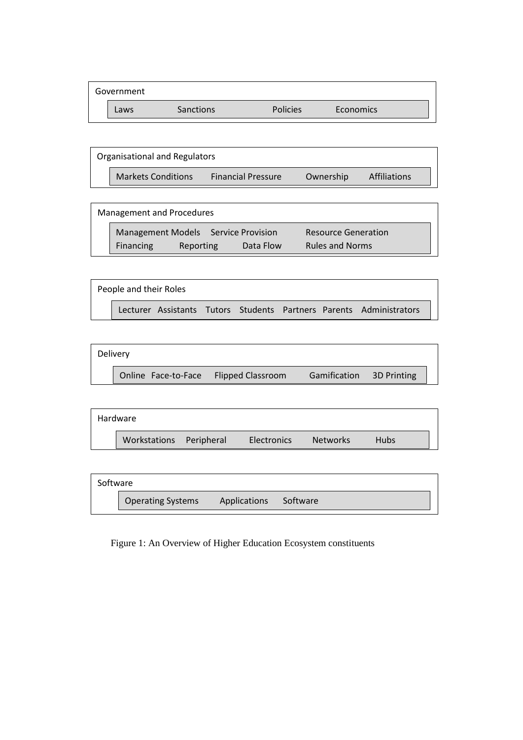| Government |                  |                 |                  |
|------------|------------------|-----------------|------------------|
| Laws       | <b>Sanctions</b> | <b>Policies</b> | <b>Economics</b> |

Organisational and Regulators Markets Conditions Financial Pressure Ownership Affiliations

Management and Procedures

Economics

| Management Models Service Provision |           |           | <b>Resource Generation</b> |  |
|-------------------------------------|-----------|-----------|----------------------------|--|
| Financing                           | Reporting | Data Flow | <b>Rules and Norms</b>     |  |

| People and their Roles |  |  |  |  |  |                                                                     |  |
|------------------------|--|--|--|--|--|---------------------------------------------------------------------|--|
|                        |  |  |  |  |  | Lecturer Assistants Tutors Students Partners Parents Administrators |  |

| Delivery            |                          |              |             |  |
|---------------------|--------------------------|--------------|-------------|--|
| Online Face-to-Face | <b>Flipped Classroom</b> | Gamification | 3D Printing |  |

| Hardware                |                    |          |      |  |
|-------------------------|--------------------|----------|------|--|
| Workstations Peripheral | <b>Electronics</b> | Networks | Hubs |  |

| Software |                          |                       |  |
|----------|--------------------------|-----------------------|--|
|          | <b>Operating Systems</b> | Applications Software |  |

Figure 1: An Overview of Higher Education Ecosystem constituents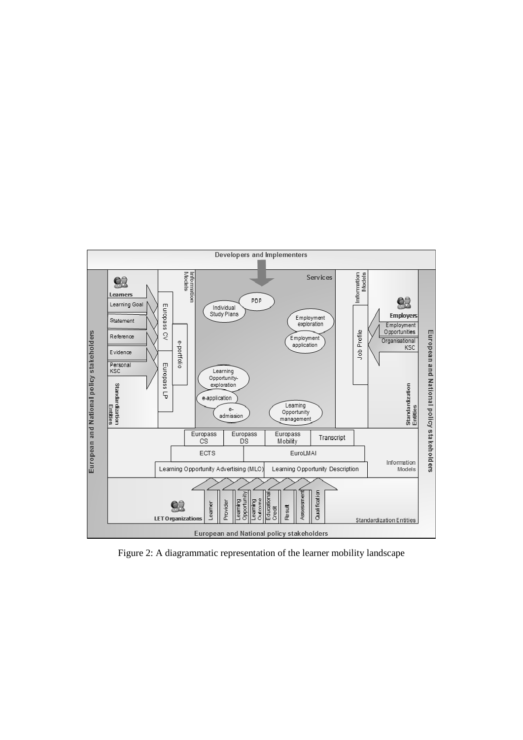

Figure 2: A diagrammatic representation of the learner mobility landscape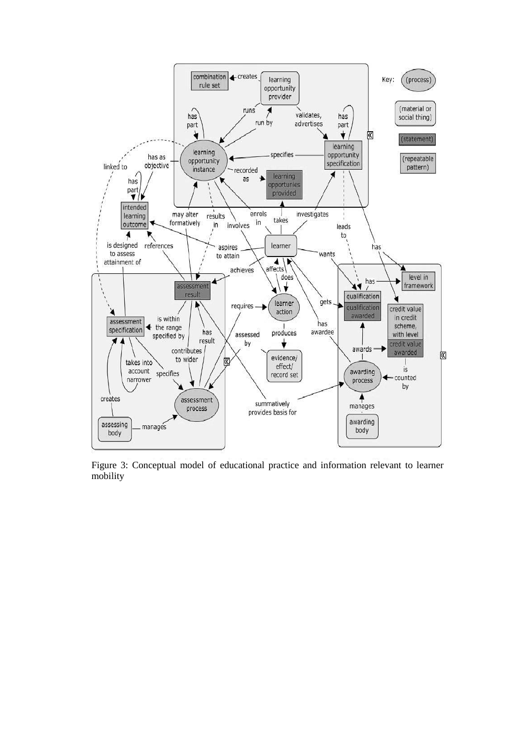

Figure 3: Conceptual model of educational practice and information relevant to learner mobility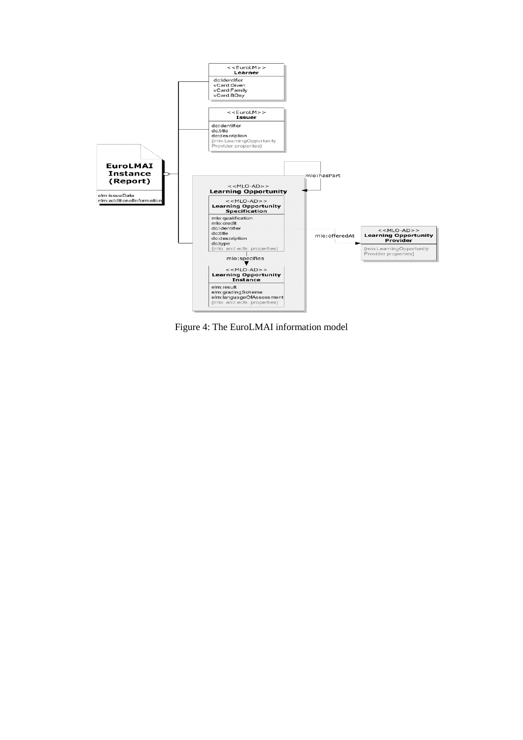

Figure 4: The EuroLMAI information model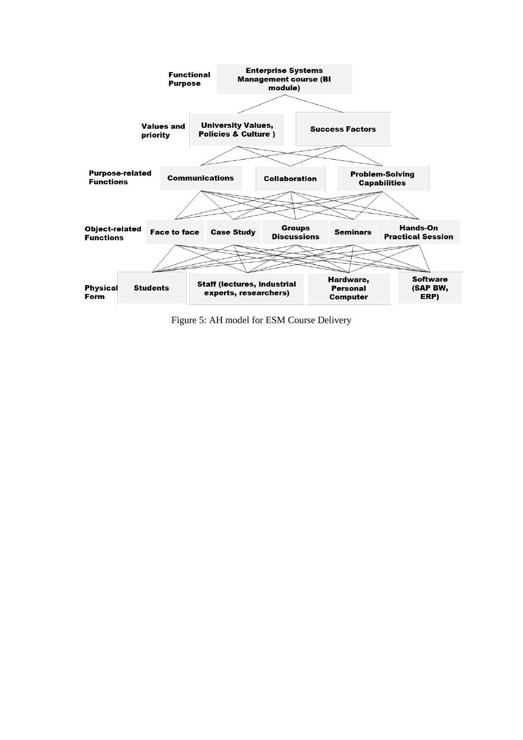

Figure 5: AH model for ESM Course Delivery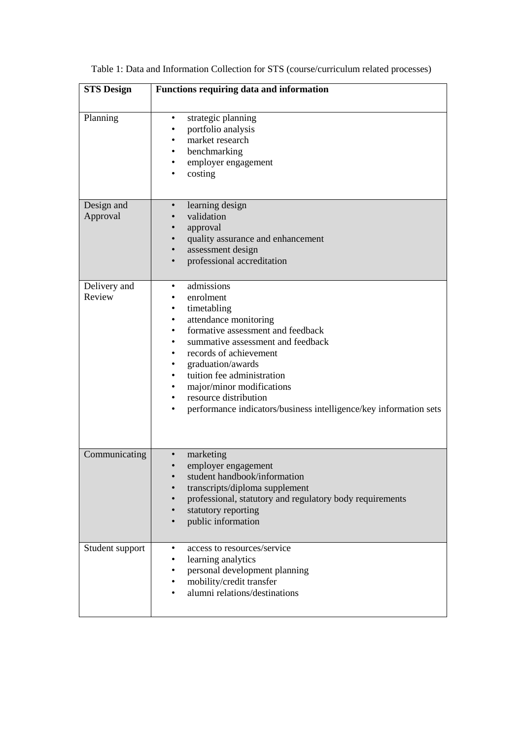| <b>STS Design</b>      | <b>Functions requiring data and information</b>                                                                                                                                                                                                                                                                                                                                                     |
|------------------------|-----------------------------------------------------------------------------------------------------------------------------------------------------------------------------------------------------------------------------------------------------------------------------------------------------------------------------------------------------------------------------------------------------|
| Planning               | strategic planning<br>portfolio analysis<br>market research<br>benchmarking<br>employer engagement<br>costing<br>٠                                                                                                                                                                                                                                                                                  |
| Design and<br>Approval | learning design<br>$\bullet$<br>validation<br>approval<br>quality assurance and enhancement<br>$\bullet$<br>assessment design<br>$\bullet$<br>professional accreditation<br>$\bullet$                                                                                                                                                                                                               |
| Delivery and<br>Review | admissions<br>٠<br>enrolment<br>timetabling<br>٠<br>attendance monitoring<br>formative assessment and feedback<br>٠<br>summative assessment and feedback<br>٠<br>records of achievement<br>٠<br>graduation/awards<br>٠<br>tuition fee administration<br>٠<br>major/minor modifications<br>٠<br>resource distribution<br>٠<br>performance indicators/business intelligence/key information sets<br>٠ |
| Communicating          | marketing<br>employer engagement<br>student handbook/information<br>transcripts/diploma supplement<br>professional, statutory and regulatory body requirements<br>statutory reporting<br>public information                                                                                                                                                                                         |
| Student support        | access to resources/service<br>٠<br>learning analytics<br>٠<br>personal development planning<br>٠<br>mobility/credit transfer<br>alumni relations/destinations                                                                                                                                                                                                                                      |

Table 1: Data and Information Collection for STS (course/curriculum related processes)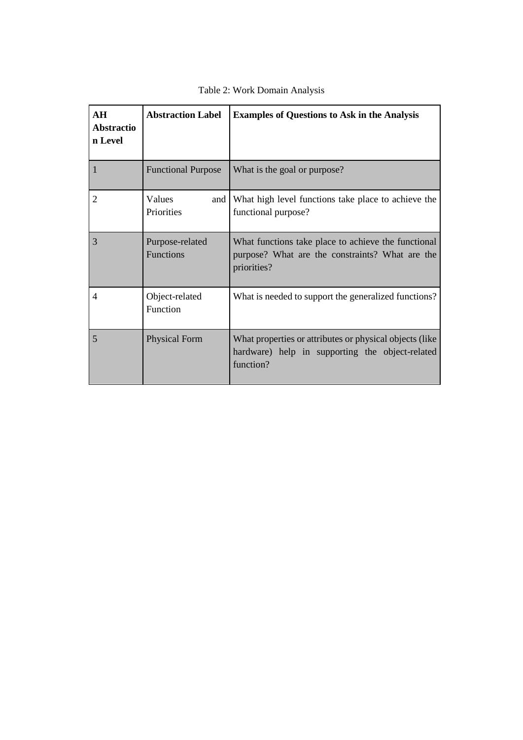| AH<br><b>Abstractio</b><br>n Level | <b>Abstraction Label</b>            | <b>Examples of Questions to Ask in the Analysis</b>                                                                     |
|------------------------------------|-------------------------------------|-------------------------------------------------------------------------------------------------------------------------|
| 1                                  | <b>Functional Purpose</b>           | What is the goal or purpose?                                                                                            |
| $\overline{2}$                     | Values<br>and<br>Priorities         | What high level functions take place to achieve the<br>functional purpose?                                              |
| 3                                  | Purpose-related<br><b>Functions</b> | What functions take place to achieve the functional<br>purpose? What are the constraints? What are the<br>priorities?   |
| 4                                  | Object-related<br>Function          | What is needed to support the generalized functions?                                                                    |
| 5                                  | <b>Physical Form</b>                | What properties or attributes or physical objects (like<br>hardware) help in supporting the object-related<br>function? |

Table 2: Work Domain Analysis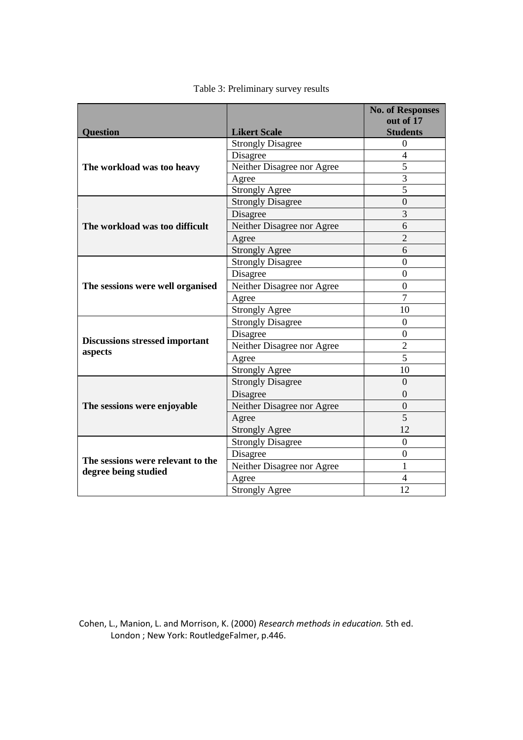|                                       |                            | <b>No. of Responses</b><br>out of 17 |
|---------------------------------------|----------------------------|--------------------------------------|
| <b>Question</b>                       | <b>Likert Scale</b>        | <b>Students</b>                      |
|                                       | <b>Strongly Disagree</b>   | $\boldsymbol{0}$                     |
|                                       | Disagree                   | $\overline{4}$                       |
| The workload was too heavy            | Neither Disagree nor Agree | $\overline{5}$                       |
|                                       | Agree                      | $\overline{3}$                       |
|                                       | <b>Strongly Agree</b>      | 5                                    |
|                                       | <b>Strongly Disagree</b>   | $\overline{0}$                       |
|                                       | Disagree                   | 3                                    |
| The workload was too difficult        | Neither Disagree nor Agree | 6                                    |
|                                       | Agree                      | $\overline{2}$                       |
|                                       | <b>Strongly Agree</b>      | 6                                    |
|                                       | <b>Strongly Disagree</b>   | $\boldsymbol{0}$                     |
|                                       | Disagree                   | $\boldsymbol{0}$                     |
| The sessions were well organised      | Neither Disagree nor Agree | $\overline{0}$                       |
|                                       | Agree                      | $\overline{7}$                       |
|                                       | <b>Strongly Agree</b>      | 10                                   |
|                                       | <b>Strongly Disagree</b>   | $\overline{0}$                       |
|                                       | Disagree                   | $\overline{0}$                       |
| <b>Discussions stressed important</b> | Neither Disagree nor Agree | $\overline{2}$                       |
| aspects                               | Agree                      | 5                                    |
|                                       | <b>Strongly Agree</b>      | 10                                   |
|                                       | <b>Strongly Disagree</b>   | $\mathbf{0}$                         |
|                                       | Disagree                   | $\overline{0}$                       |
| The sessions were enjoyable           | Neither Disagree nor Agree | $\overline{0}$                       |
|                                       | Agree                      | 5                                    |
|                                       | <b>Strongly Agree</b>      | 12                                   |
|                                       | <b>Strongly Disagree</b>   | $\mathbf{0}$                         |
|                                       | Disagree                   | $\boldsymbol{0}$                     |
| The sessions were relevant to the     | Neither Disagree nor Agree | 1                                    |
| degree being studied                  | Agree                      | $\overline{4}$                       |
|                                       | <b>Strongly Agree</b>      | 12                                   |

Table 3: Preliminary survey results

Cohen, L., Manion, L. and Morrison, K. (2000) *Research methods in education.* 5th ed. London ; New York: RoutledgeFalmer, p.446.